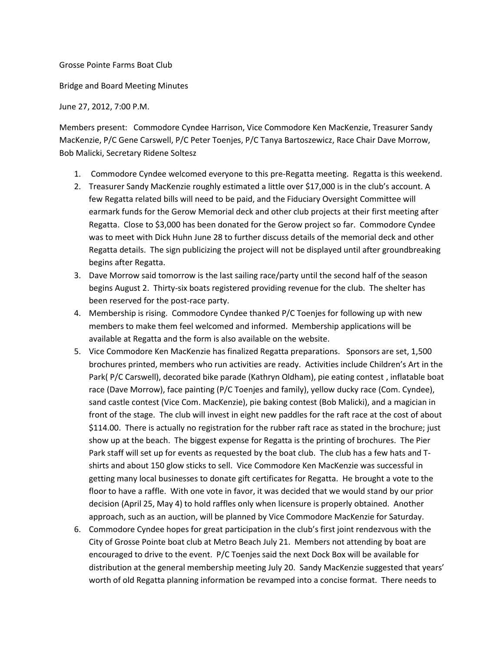## Grosse Pointe Farms Boat Club

Bridge and Board Meeting Minutes

June 27, 2012, 7:00 P.M.

Members present: Commodore Cyndee Harrison, Vice Commodore Ken MacKenzie, Treasurer Sandy MacKenzie, P/C Gene Carswell, P/C Peter Toenjes, P/C Tanya Bartoszewicz, Race Chair Dave Morrow, Bob Malicki, Secretary Ridene Soltesz

- 1. Commodore Cyndee welcomed everyone to this pre-Regatta meeting. Regatta is this weekend.
- 2. Treasurer Sandy MacKenzie roughly estimated a little over \$17,000 is in the club's account. A few Regatta related bills will need to be paid, and the Fiduciary Oversight Committee will earmark funds for the Gerow Memorial deck and other club projects at their first meeting after Regatta. Close to \$3,000 has been donated for the Gerow project so far. Commodore Cyndee was to meet with Dick Huhn June 28 to further discuss details of the memorial deck and other Regatta details. The sign publicizing the project will not be displayed until after groundbreaking begins after Regatta.
- 3. Dave Morrow said tomorrow is the last sailing race/party until the second half of the season begins August 2. Thirty-six boats registered providing revenue for the club. The shelter has been reserved for the post-race party.
- 4. Membership is rising. Commodore Cyndee thanked P/C Toenjes for following up with new members to make them feel welcomed and informed. Membership applications will be available at Regatta and the form is also available on the website.
- 5. Vice Commodore Ken MacKenzie has finalized Regatta preparations. Sponsors are set, 1,500 brochures printed, members who run activities are ready. Activities include Children's Art in the Park( P/C Carswell), decorated bike parade (Kathryn Oldham), pie eating contest , inflatable boat race (Dave Morrow), face painting (P/C Toenjes and family), yellow ducky race (Com. Cyndee), sand castle contest (Vice Com. MacKenzie), pie baking contest (Bob Malicki), and a magician in front of the stage. The club will invest in eight new paddles for the raft race at the cost of about \$114.00. There is actually no registration for the rubber raft race as stated in the brochure; just show up at the beach. The biggest expense for Regatta is the printing of brochures. The Pier Park staff will set up for events as requested by the boat club. The club has a few hats and Tshirts and about 150 glow sticks to sell. Vice Commodore Ken MacKenzie was successful in getting many local businesses to donate gift certificates for Regatta. He brought a vote to the floor to have a raffle. With one vote in favor, it was decided that we would stand by our prior decision (April 25, May 4) to hold raffles only when licensure is properly obtained. Another approach, such as an auction, will be planned by Vice Commodore MacKenzie for Saturday.
- 6. Commodore Cyndee hopes for great participation in the club's first joint rendezvous with the City of Grosse Pointe boat club at Metro Beach July 21. Members not attending by boat are encouraged to drive to the event. P/C Toenjes said the next Dock Box will be available for distribution at the general membership meeting July 20. Sandy MacKenzie suggested that years' worth of old Regatta planning information be revamped into a concise format. There needs to